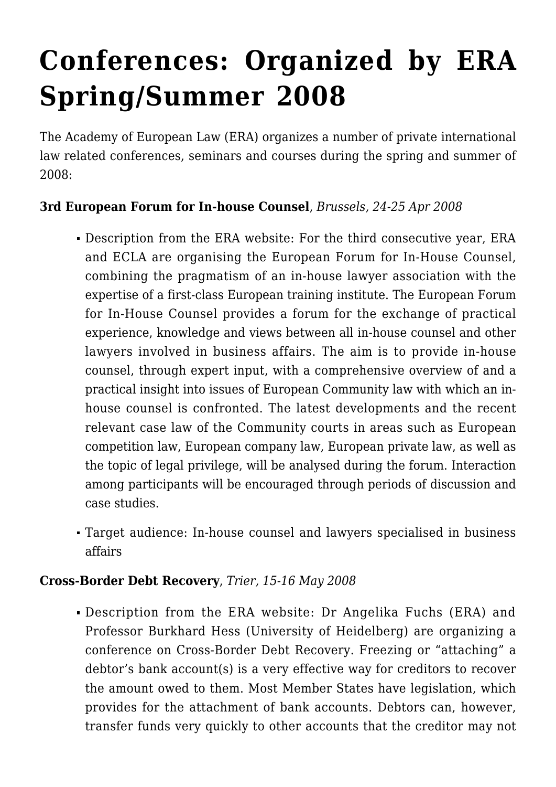# **[Conferences: Organized by ERA](https://conflictoflaws.net/2008/conferences-organized-by-era-springsummer-2008/) [Spring/Summer 2008](https://conflictoflaws.net/2008/conferences-organized-by-era-springsummer-2008/)**

The Academy of European Law [\(ERA](http://www.era.int/)) organizes a number of private international law related conferences, seminars and courses during the spring and summer of 2008:

## **3rd European Forum for In-house Counsel**, *Brussels, 24-25 Apr 2008*

- Description from the ERA [website](http://www.era.int/web/en/html/nodes_main/4_2127_474/By%20Topic/conferences_PrivateLaw/5_1796_5494.htm): For the third consecutive year, ERA and ECLA are organising the European Forum for In-House Counsel, combining the pragmatism of an in-house lawyer association with the expertise of a first-class European training institute. The European Forum for In-House Counsel provides a forum for the exchange of practical experience, knowledge and views between all in-house counsel and other lawyers involved in business affairs. The aim is to provide in-house counsel, through expert input, with a comprehensive overview of and a practical insight into issues of European Community law with which an inhouse counsel is confronted. The latest developments and the recent relevant case law of the Community courts in areas such as European competition law, European company law, European private law, as well as the topic of legal privilege, will be analysed during the forum. Interaction among participants will be encouraged through periods of discussion and case studies.
- Target audience: In-house counsel and lawyers specialised in business affairs

## **Cross-Border Debt Recovery**, *Trier, 15-16 May 2008*

Description from the ERA [website:](http://www.era.int/web/en/html/nodes_main/4_2127_474/By%20Topic/conferences_PrivateLaw/5_1796_5495.htm) Dr Angelika Fuchs (ERA) and Professor Burkhard Hess (University of Heidelberg) are organizing a conference on Cross-Border Debt Recovery. Freezing or "attaching" a debtor's bank account(s) is a very effective way for creditors to recover the amount owed to them. Most Member States have legislation, which provides for the attachment of bank accounts. Debtors can, however, transfer funds very quickly to other accounts that the creditor may not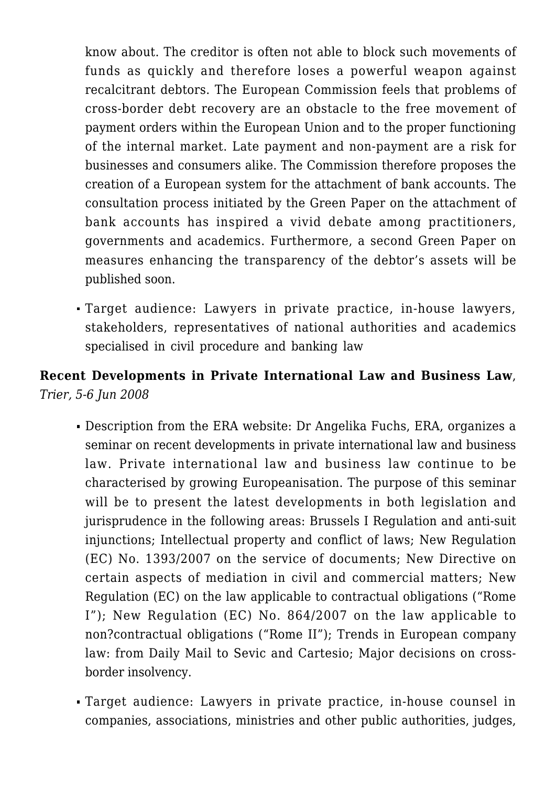know about. The creditor is often not able to block such movements of funds as quickly and therefore loses a powerful weapon against recalcitrant debtors. The European Commission feels that problems of cross-border debt recovery are an obstacle to the free movement of payment orders within the European Union and to the proper functioning of the internal market. Late payment and non-payment are a risk for businesses and consumers alike. The Commission therefore proposes the creation of a European system for the attachment of bank accounts. The consultation process initiated by the Green Paper on the attachment of bank accounts has inspired a vivid debate among practitioners, governments and academics. Furthermore, a second Green Paper on measures enhancing the transparency of the debtor's assets will be published soon.

Target audience: Lawyers in private practice, in-house lawyers, stakeholders, representatives of national authorities and academics specialised in civil procedure and banking law

# **Recent Developments in Private International Law and Business Law**, *Trier, 5-6 Jun 2008*

- Description from the ERA [website:](http://www.era.int/web/en/html/nodes_main/4_2127_474/By%20Topic/conferences_PrivateLaw/5_1796_5497.htm) Dr Angelika Fuchs, ERA, organizes a seminar on recent developments in private international law and business law. Private international law and business law continue to be characterised by growing Europeanisation. The purpose of this seminar will be to present the latest developments in both legislation and jurisprudence in the following areas: Brussels I Regulation and anti-suit injunctions; Intellectual property and conflict of laws; New Regulation (EC) No. 1393/2007 on the service of documents; New Directive on certain aspects of mediation in civil and commercial matters; New Regulation (EC) on the law applicable to contractual obligations ("Rome I"); New Regulation (EC) No. 864/2007 on the law applicable to non?contractual obligations ("Rome II"); Trends in European company law: from Daily Mail to Sevic and Cartesio; Major decisions on crossborder insolvency.
- Target audience: Lawyers in private practice, in-house counsel in companies, associations, ministries and other public authorities, judges,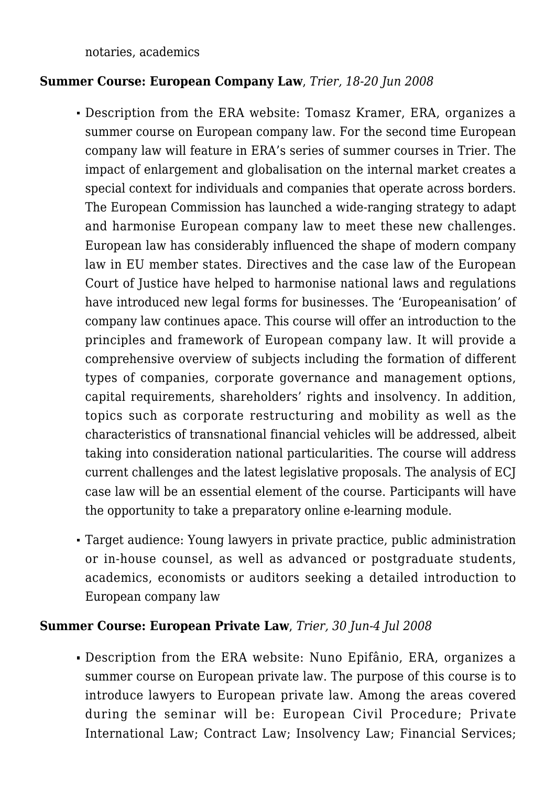notaries, academics

### **Summer Course: European Company Law**, *Trier, 18-20 Jun 2008*

- Description from the ERA [website](http://www.era.int/web/en/html/nodes_main/4_2127_474/By%20Topic/conferences_PrivateLaw/5_1796_5551.htm): Tomasz Kramer, ERA, organizes a summer course on European company law. For the second time European company law will feature in ERA's series of summer courses in Trier. The impact of enlargement and globalisation on the internal market creates a special context for individuals and companies that operate across borders. The European Commission has launched a wide-ranging strategy to adapt and harmonise European company law to meet these new challenges. European law has considerably influenced the shape of modern company law in EU member states. Directives and the case law of the European Court of Justice have helped to harmonise national laws and regulations have introduced new legal forms for businesses. The 'Europeanisation' of company law continues apace. This course will offer an introduction to the principles and framework of European company law. It will provide a comprehensive overview of subjects including the formation of different types of companies, corporate governance and management options, capital requirements, shareholders' rights and insolvency. In addition, topics such as corporate restructuring and mobility as well as the characteristics of transnational financial vehicles will be addressed, albeit taking into consideration national particularities. The course will address current challenges and the latest legislative proposals. The analysis of ECJ case law will be an essential element of the course. Participants will have the opportunity to take a preparatory online e-learning module.
- Target audience: Young lawyers in private practice, public administration or in-house counsel, as well as advanced or postgraduate students, academics, economists or auditors seeking a detailed introduction to European company law

### **Summer Course: European Private Law**, *Trier, 30 Jun-4 Jul 2008*

Description from the ERA [website](http://www.era.int/web/en/html/nodes_main/4_2127_474/By%20Topic/conferences_PrivateLaw/5_1796_5498.htm): Nuno Epifânio, ERA, organizes a summer course on European private law. The purpose of this course is to introduce lawyers to European private law. Among the areas covered during the seminar will be: European Civil Procedure; Private International Law; Contract Law; Insolvency Law; Financial Services;